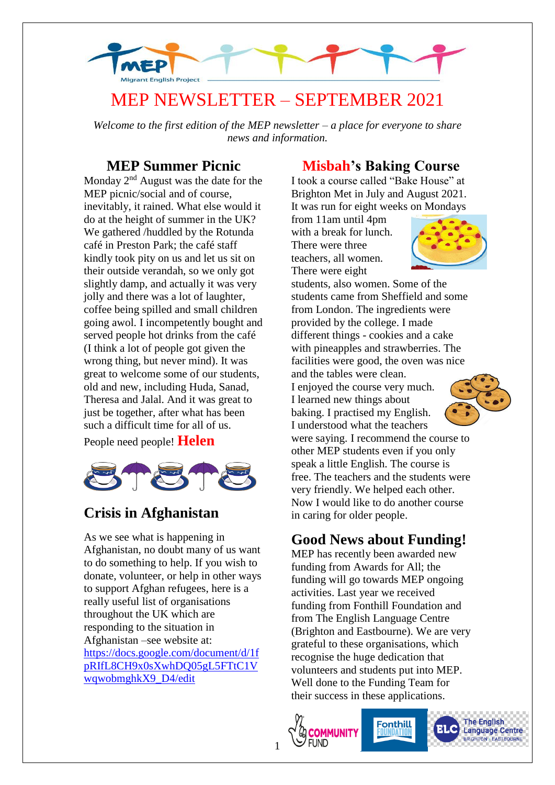

# MEP NEWSLETTER – SEPTEMBER 2021

*Welcome to the first edition of the MEP newsletter – a place for everyone to share news and information.*

#### **MEP Summer Picnic**

Monday 2<sup>nd</sup> August was the date for the MEP picnic/social and of course, inevitably, it rained. What else would it do at the height of summer in the UK? We gathered /huddled by the Rotunda café in Preston Park; the café staff kindly took pity on us and let us sit on their outside verandah, so we only got slightly damp, and actually it was very jolly and there was a lot of laughter, coffee being spilled and small children going awol. I incompetently bought and served people hot drinks from the café (I think a lot of people got given the wrong thing, but never mind). It was great to welcome some of our students, old and new, including Huda, Sanad, Theresa and Jalal. And it was great to just be together, after what has been such a difficult time for all of us. People need people! **Helen**



## **Crisis in Afghanistan**

As we see what is happening in Afghanistan, no doubt many of us want to do something to help. If you wish to donate, volunteer, or help in other ways to support Afghan refugees, here is a really useful list of organisations throughout the UK which are responding to the situation in Afghanistan –see website at: [https://docs.google.com/document/d/1f](https://docs.google.com/document/d/1fpRIfL8CH9x0sXwhDQ05gL5FTtC1VwqwobmghkX9_D4/edit) [pRIfL8CH9x0sXwhDQ05gL5FTtC1V](https://docs.google.com/document/d/1fpRIfL8CH9x0sXwhDQ05gL5FTtC1VwqwobmghkX9_D4/edit) [wqwobmghkX9\\_D4/edit](https://docs.google.com/document/d/1fpRIfL8CH9x0sXwhDQ05gL5FTtC1VwqwobmghkX9_D4/edit)

#### **Misbah's Baking Course**

I took a course called "Bake House" at Brighton Met in July and August 2021. It was run for eight weeks on Mondays

from 11am until 4pm with a break for lunch. There were three teachers, all women. There were eight



students, also women. Some of the students came from Sheffield and some from London. The ingredients were provided by the college. I made different things - cookies and a cake with pineapples and strawberries. The facilities were good, the oven was nice and the tables were clean. I enjoyed the course very much. I learned new things about baking. I practised my English. I understood what the teachers were saying. I recommend the course to other MEP students even if you only speak a little English. The course is free. The teachers and the students were very friendly. We helped each other. Now I would like to do another course in caring for older people.

## **Good News about Funding!**

MEP has recently been awarded new funding from Awards for All; the funding will go towards MEP ongoing activities. Last year we received funding from Fonthill Foundation and from The English Language Centre (Brighton and Eastbourne). We are very grateful to these organisations, which recognise the huge dedication that volunteers and students put into MEP. Well done to the Funding Team for their success in these applications.

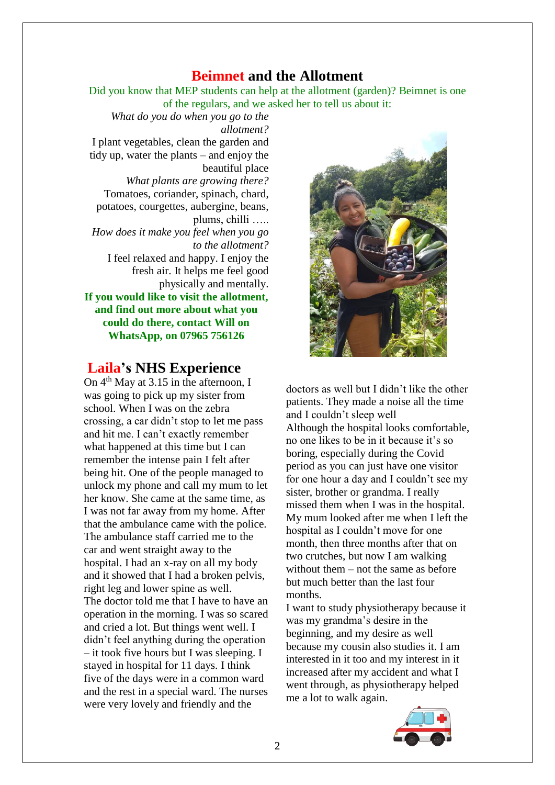#### **Beimnet and the Allotment**

Did you know that MEP students can help at the allotment (garden)? Beimnet is one of the regulars, and we asked her to tell us about it:

*What do you do when you go to the allotment?* I plant vegetables, clean the garden and tidy up, water the plants – and enjoy the beautiful place *What plants are growing there?* Tomatoes, coriander, spinach, chard, potatoes, courgettes, aubergine, beans, plums, chilli ….. *How does it make you feel when you go to the allotment?* I feel relaxed and happy. I enjoy the fresh air. It helps me feel good physically and mentally. **If you would like to visit the allotment, and find out more about what you could do there, contact Will on WhatsApp, on 07965 756126**

#### **Laila's NHS Experience**

On  $4<sup>th</sup>$  May at 3.15 in the afternoon, I was going to pick up my sister from school. When I was on the zebra crossing, a car didn't stop to let me pass and hit me. I can't exactly remember what happened at this time but I can remember the intense pain I felt after being hit. One of the people managed to unlock my phone and call my mum to let her know. She came at the same time, as I was not far away from my home. After that the ambulance came with the police. The ambulance staff carried me to the car and went straight away to the hospital. I had an x-ray on all my body and it showed that I had a broken pelvis, right leg and lower spine as well. The doctor told me that I have to have an operation in the morning. I was so scared and cried a lot. But things went well. I didn't feel anything during the operation – it took five hours but I was sleeping. I stayed in hospital for 11 days. I think five of the days were in a common ward and the rest in a special ward. The nurses were very lovely and friendly and the



doctors as well but I didn't like the other patients. They made a noise all the time and I couldn't sleep well Although the hospital looks comfortable, no one likes to be in it because it's so boring, especially during the Covid period as you can just have one visitor for one hour a day and I couldn't see my sister, brother or grandma. I really missed them when I was in the hospital. My mum looked after me when I left the hospital as I couldn't move for one month, then three months after that on two crutches, but now I am walking without them – not the same as before but much better than the last four months.

I want to study physiotherapy because it was my grandma's desire in the beginning, and my desire as well because my cousin also studies it. I am interested in it too and my interest in it increased after my accident and what I went through, as physiotherapy helped me a lot to walk again.

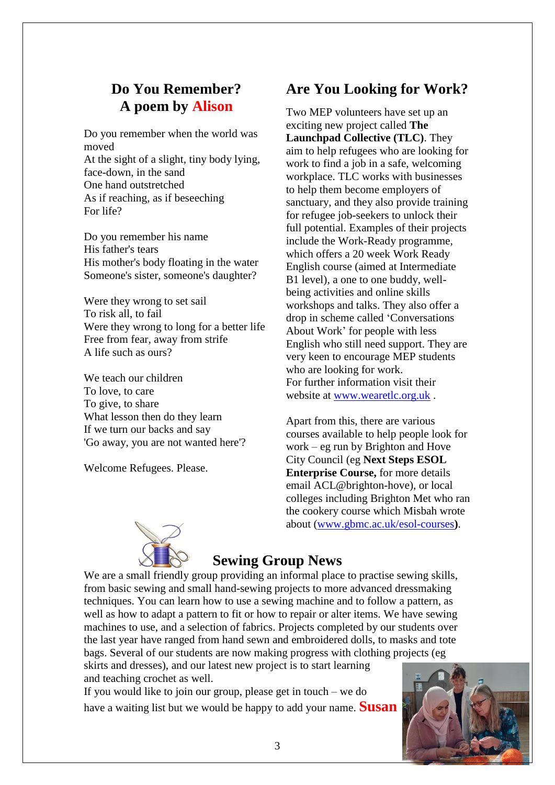## **Do You Remember? A poem by Alison**

Do you remember when the world was moved At the sight of a slight, tiny body lying,

face-down, in the sand One hand outstretched As if reaching, as if beseeching For life?

Do you remember his name His father's tears His mother's body floating in the water Someone's sister, someone's daughter?

Were they wrong to set sail To risk all, to fail Were they wrong to long for a better life Free from fear, away from strife A life such as ours?

We teach our children To love, to care To give, to share What lesson then do they learn If we turn our backs and say 'Go away, you are not wanted here'?

Welcome Refugees. Please.

## **Are You Looking for Work?**

Two MEP volunteers have set up an exciting new project called **The Launchpad Collective (TLC)**. They aim to help refugees who are looking for work to find a job in a safe, welcoming workplace. TLC works with businesses to help them become employers of sanctuary, and they also provide training for refugee job-seekers to unlock their full potential. Examples of their projects include the Work-Ready programme, which offers a 20 week Work Ready English course (aimed at Intermediate B1 level), a one to one buddy, wellbeing activities and online skills workshops and talks. They also offer a drop in scheme called 'Conversations About Work' for people with less English who still need support. They are very keen to encourage MEP students who are looking for work. For further information visit their website at [www.wearetlc.org.uk](http://www.wearetlc.org.uk/) .

Apart from this, there are various courses available to help people look for work – eg run by Brighton and Hove City Council (eg **Next Steps ESOL Enterprise Course,** for more details email ACL@brighton-hove), or local colleges including Brighton Met who ran the cookery course which Misbah wrote about [\(www.gbmc.ac.uk/esol-courses](http://www.gbmc.ac.uk/esol-courses)**)**.



#### **Sewing Group News**

We are a small friendly group providing an informal place to practise sewing skills, from basic sewing and small hand-sewing projects to more advanced dressmaking techniques. You can learn how to use a sewing machine and to follow a pattern, as well as how to adapt a pattern to fit or how to repair or alter items. We have sewing machines to use, and a selection of fabrics. Projects completed by our students over the last year have ranged from hand sewn and embroidered dolls, to masks and tote bags. Several of our students are now making progress with clothing projects (eg skirts and dresses), and our latest new project is to start learning

and teaching crochet as well. If you would like to join our group, please get in touch – we do have a waiting list but we would be happy to add your name. **Susan**